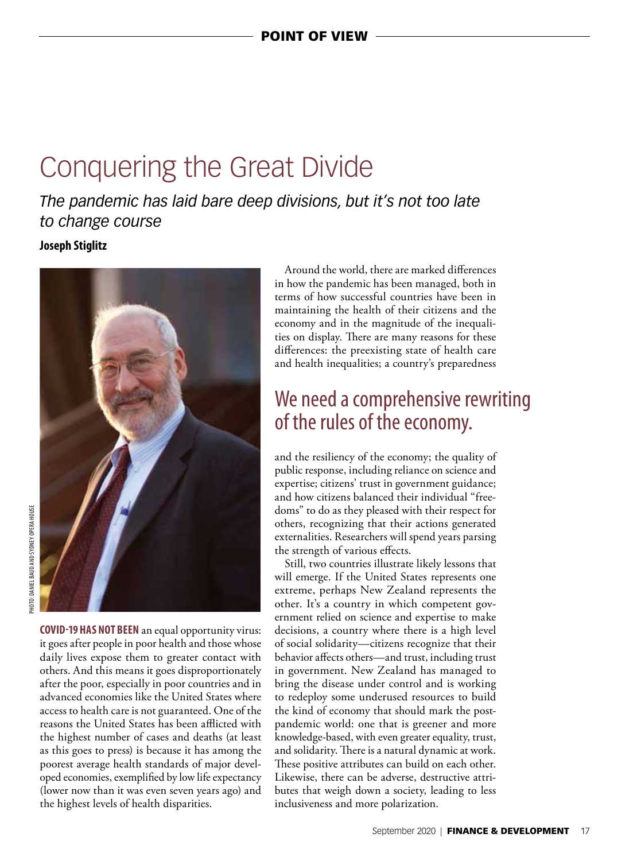# Conquering the Great Divide

*The pandemic has laid bare deep divisions, but it's not too late to change course*

**Joseph Stiglitz**



**COVID-19 HAS NOT BEEN** an equal opportunity virus: it goes after people in poor health and those whose daily lives expose them to greater contact with others. And this means it goes disproportionately after the poor, especially in poor countries and in advanced economies like the United States where access to health care is not guaranteed. One of the reasons the United States has been afflicted with the highest number of cases and deaths (at least as this goes to press) is because it has among the poorest average health standards of major developed economies, exemplified by low life expectancy (lower now than it was even seven years ago) and the highest levels of health disparities.

Around the world, there are marked differences in how the pandemic has been managed, both in terms of how successful countries have been in maintaining the health of their citizens and the economy and in the magnitude of the inequalities on display. There are many reasons for these differences: the preexisting state of health care and health inequalities; a country's preparedness

### We need a comprehensive rewriting of the rules of the economy.

and the resiliency of the economy; the quality of public response, including reliance on science and expertise; citizens' trust in government guidance; and how citizens balanced their individual "freedoms" to do as they pleased with their respect for others, recognizing that their actions generated externalities. Researchers will spend years parsing the strength of various effects.

Still, two countries illustrate likely lessons that will emerge. If the United States represents one extreme, perhaps New Zealand represents the other. It's a country in which competent government relied on science and expertise to make decisions, a country where there is a high level of social solidarity—citizens recognize that their behavior affects others—and trust, including trust in government. New Zealand has managed to bring the disease under control and is working to redeploy some underused resources to build the kind of economy that should mark the postpandemic world: one that is greener and more knowledge-based, with even greater equality, trust, and solidarity. There is a natural dynamic at work. These positive attributes can build on each other. Likewise, there can be adverse, destructive attributes that weigh down a society, leading to less inclusiveness and more polarization.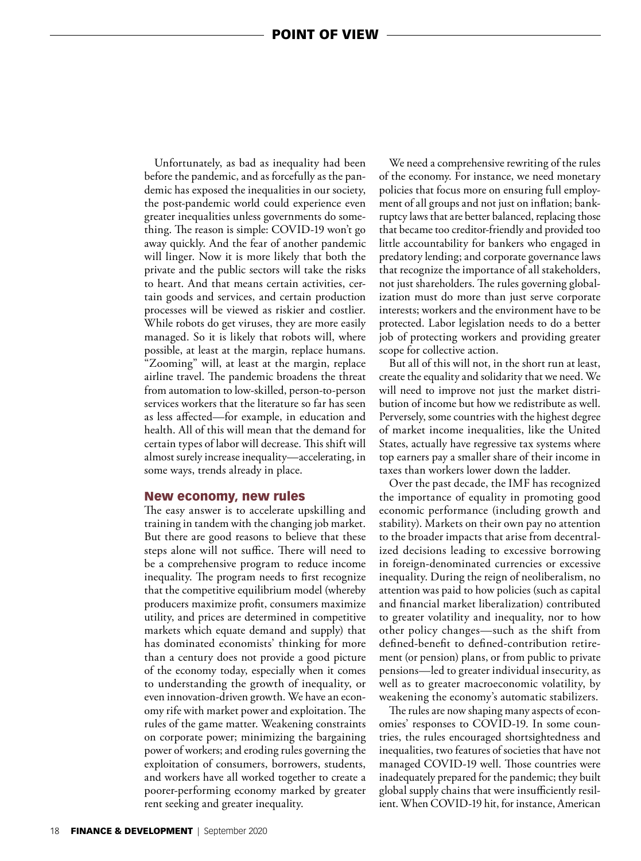Unfortunately, as bad as inequality had been before the pandemic, and as forcefully as the pandemic has exposed the inequalities in our society, the post-pandemic world could experience even greater inequalities unless governments do something. The reason is simple: COVID-19 won't go away quickly. And the fear of another pandemic will linger. Now it is more likely that both the private and the public sectors will take the risks to heart. And that means certain activities, certain goods and services, and certain production processes will be viewed as riskier and costlier. While robots do get viruses, they are more easily managed. So it is likely that robots will, where possible, at least at the margin, replace humans. "Zooming" will, at least at the margin, replace airline travel. The pandemic broadens the threat from automation to low-skilled, person-to-person services workers that the literature so far has seen as less affected—for example, in education and health. All of this will mean that the demand for certain types of labor will decrease. This shift will almost surely increase inequality—accelerating, in some ways, trends already in place.

#### New economy, new rules

The easy answer is to accelerate upskilling and training in tandem with the changing job market. But there are good reasons to believe that these steps alone will not suffice. There will need to be a comprehensive program to reduce income inequality. The program needs to first recognize that the competitive equilibrium model (whereby producers maximize profit, consumers maximize utility, and prices are determined in competitive markets which equate demand and supply) that has dominated economists' thinking for more than a century does not provide a good picture of the economy today, especially when it comes to understanding the growth of inequality, or even innovation-driven growth. We have an economy rife with market power and exploitation. The rules of the game matter. Weakening constraints on corporate power; minimizing the bargaining power of workers; and eroding rules governing the exploitation of consumers, borrowers, students, and workers have all worked together to create a poorer-performing economy marked by greater rent seeking and greater inequality.

We need a comprehensive rewriting of the rules of the economy. For instance, we need monetary policies that focus more on ensuring full employment of all groups and not just on inflation; bankruptcy laws that are better balanced, replacing those that became too creditor-friendly and provided too little accountability for bankers who engaged in predatory lending; and corporate governance laws that recognize the importance of all stakeholders, not just shareholders. The rules governing globalization must do more than just serve corporate interests; workers and the environment have to be protected. Labor legislation needs to do a better job of protecting workers and providing greater scope for collective action.

But all of this will not, in the short run at least, create the equality and solidarity that we need. We will need to improve not just the market distribution of income but how we redistribute as well. Perversely, some countries with the highest degree of market income inequalities, like the United States, actually have regressive tax systems where top earners pay a smaller share of their income in taxes than workers lower down the ladder.

Over the past decade, the IMF has recognized the importance of equality in promoting good economic performance (including growth and stability). Markets on their own pay no attention to the broader impacts that arise from decentralized decisions leading to excessive borrowing in foreign-denominated currencies or excessive inequality. During the reign of neoliberalism, no attention was paid to how policies (such as capital and financial market liberalization) contributed to greater volatility and inequality, nor to how other policy changes—such as the shift from defined-benefit to defined-contribution retirement (or pension) plans, or from public to private pensions—led to greater individual insecurity, as well as to greater macroeconomic volatility, by weakening the economy's automatic stabilizers.

The rules are now shaping many aspects of economies' responses to COVID-19. In some countries, the rules encouraged shortsightedness and inequalities, two features of societies that have not managed COVID-19 well. Those countries were inadequately prepared for the pandemic; they built global supply chains that were insufficiently resilient. When COVID-19 hit, for instance, American